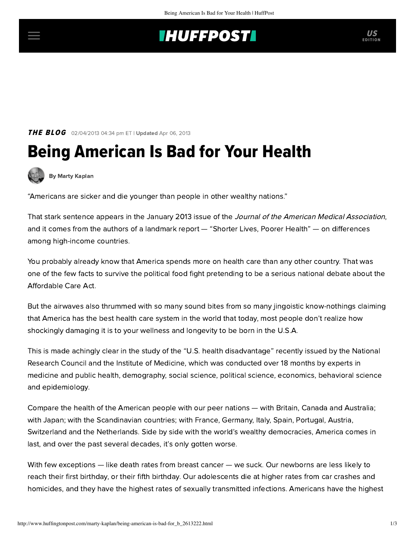## **INUFFPOSTI** US

**THE BLOG** 02/04/2013 04:34 pm ET | Updated Apr 06, 2013

# Being American Is Bad for Your Health



[By Marty Kaplan](http://www.huffingtonpost.com/author/marty-kaplan)

"Americans are sicker and die younger than people in other wealthy nations."

That stark sentence [appears](http://jama.jamanetwork.com/article.aspx?articleid=1556967) in the January 2013 issue of the Journal of the American Medical Association, and it comes from the authors of a landmark [report](http://http//sites.nationalacademies.org/DBASSE/CPOP/US_Health_in_International_Perspective/index.htm#.UQ86045OS-K) — "Shorter Lives, Poorer Health" — on differences among high-income countries.

You probably already know that America spends more on health care than any other country. That was one of the few facts to survive the political food fight pretending to be a serious national debate about the Affordable Care Act.

But the airwaves also thrummed with so many sound bites from so many jingoistic know-nothings claiming that America has the best health care system in the world that today, most people don't realize how shockingly damaging it is to your wellness and longevity to be born in the U.S.A.

This is made achingly clear in the study of the "U.S. health disadvantage" recently issued by the National Research Council and the Institute of Medicine, which was conducted over 18 months by experts in medicine and public health, demography, social science, political science, economics, behavioral science and epidemiology.

Compare the health of the American people with our peer nations — with Britain, Canada and Australia; with Japan; with the Scandinavian countries; with France, Germany, Italy, Spain, Portugal, Austria, Switzerland and the Netherlands. Side by side with the world's wealthy democracies, America comes in last, and over the past several decades, it's only gotten worse.

With few exceptions — like death rates from breast cancer — we suck. Our newborns are less likely to reach their first birthday, or their fifth birthday. Our adolescents die at higher rates from car crashes and homicides, and they have the highest rates of sexually transmitted infections. Americans have the highest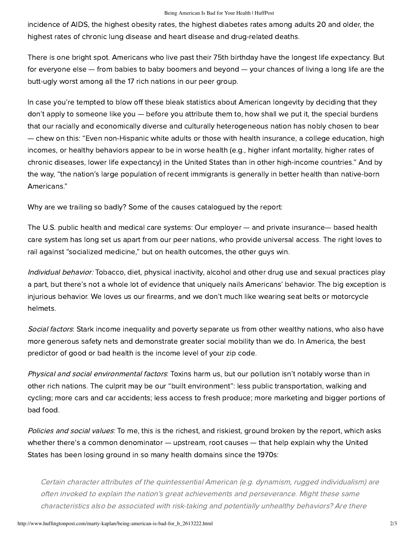#### Being American Is Bad for Your Health | HuffPost

incidence of AIDS, the highest obesity rates, the highest diabetes rates among adults 20 and older, the highest rates of chronic lung disease and heart disease and drug-related deaths.

There is one bright spot. Americans who live past their 75th birthday have the longest life expectancy. But for everyone else — from babies to baby boomers and beyond — your chances of living a long life are the butt-ugly worst among all the 17 rich nations in our peer group.

In case you're tempted to blow off these bleak statistics about American longevity by deciding that they don't apply to someone like you — before you attribute them to, how shall we put it, the special burdens that our racially and economically diverse and culturally heterogeneous nation has nobly chosen to bear — chew on this: "Even non-Hispanic white adults or those with health insurance, a college education, high incomes, or healthy behaviors appear to be in worse health (e.g., higher infant mortality, higher rates of chronic diseases, lower life expectancy) in the United States than in other high-income countries." And by the way, "the nation's large population of recent immigrants is generally in better health than native-born Americans."

Why are we trailing so badly? Some of the causes catalogued by the report:

The U.S. public health and medical care systems: Our employer — and private insurance— based health care system has long set us apart from our peer nations, who provide universal access. The right loves to rail against "socialized medicine," but on health outcomes, the other guys win.

Individual behavior: Tobacco, diet, physical inactivity, alcohol and other drug use and sexual practices play a part, but there's not a whole lot of evidence that uniquely nails Americans' behavior. The big exception is injurious behavior. We loves us our firearms, and we don't much like wearing seat belts or motorcycle helmets.

Social factors: Stark income inequality and poverty separate us from other wealthy nations, who also have more generous safety nets and demonstrate greater social mobility than we do. In America, the best predictor of good or bad health is the income level of your zip code.

Physical and social environmental factors: Toxins harm us, but our pollution isn't notably worse than in other rich nations. The culprit may be our "built environment": less public transportation, walking and cycling; more cars and car accidents; less access to fresh produce; more marketing and bigger portions of bad food.

Policies and social values: To me, this is the richest, and riskiest, ground broken by the report, which asks whether there's a common denominator — upstream, root causes — that help explain why the United States has been losing ground in so many health domains since the 1970s:

Certain character attributes of the quintessential American (e.g. dynamism, rugged individualism) are often invoked to explain the nation's great achievements and perseverance. Might these same characteristics also be associated with risk-taking and potentially unhealthy behaviors? Are there